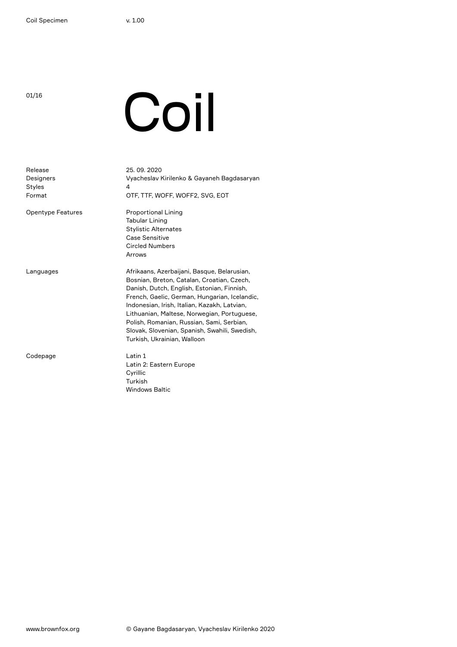# <sup>01/16</sup> Coil

| Release<br>Designers<br><b>Styles</b><br>Format | 25, 09, 2020<br>Vyacheslav Kirilenko & Gayaneh Bagdasaryan<br>4<br>OTF, TTF, WOFF, WOFF2, SVG, EOT                                                                                                                                                                                                                                                                                                                   |
|-------------------------------------------------|----------------------------------------------------------------------------------------------------------------------------------------------------------------------------------------------------------------------------------------------------------------------------------------------------------------------------------------------------------------------------------------------------------------------|
| <b>Opentype Features</b>                        | <b>Proportional Lining</b><br><b>Tabular Lining</b><br><b>Stylistic Alternates</b><br>Case Sensitive<br><b>Circled Numbers</b><br>Arrows                                                                                                                                                                                                                                                                             |
| Languages                                       | Afrikaans, Azerbaijani, Basque, Belarusian,<br>Bosnian, Breton, Catalan, Croatian, Czech,<br>Danish, Dutch, English, Estonian, Finnish,<br>French, Gaelic, German, Hungarian, Icelandic,<br>Indonesian, Irish, Italian, Kazakh, Latvian,<br>Lithuanian, Maltese, Norwegian, Portuguese,<br>Polish, Romanian, Russian, Sami, Serbian,<br>Slovak, Slovenian, Spanish, Swahili, Swedish,<br>Turkish, Ukrainian, Walloon |
| Codepage                                        | Latin 1<br>Latin 2: Eastern Europe<br>Cyrillic<br>Turkish<br><b>Windows Baltic</b>                                                                                                                                                                                                                                                                                                                                   |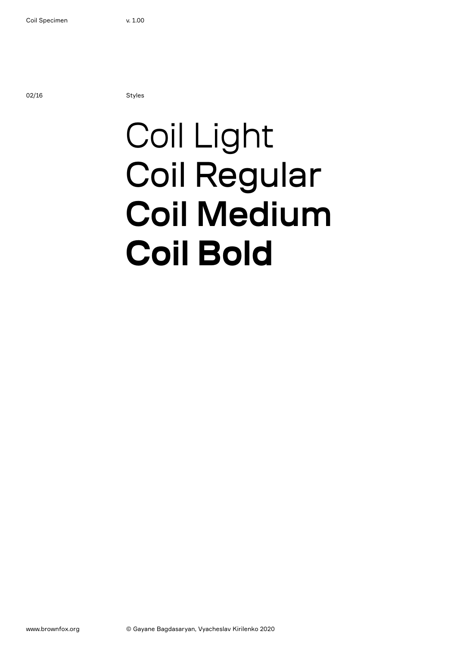02/16 Styles

# Coil Light Coil Regular Coil Medium **Coil Bold**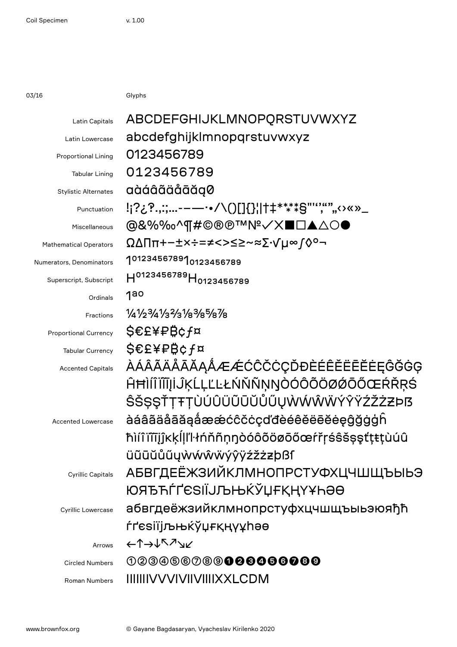03/16 Glyphs

| Latin Capitals                | ABCDEFGHIJKLMNOPQRSTUVWXYZ                     |
|-------------------------------|------------------------------------------------|
| Latin Lowercase               | abcdefghijklmnopqrstuvwxyz                     |
| <b>Proportional Lining</b>    | 0123456789                                     |
| <b>Tabular Lining</b>         | 0123456789                                     |
| <b>Stylistic Alternates</b>   | aàáâãäåāăg0                                    |
| Punctuation                   | !¡?¿?.,:;-—— •/\()[]{}¦ †‡****§"'';"",,<>«»_   |
| Miscellaneous                 | @&%‰^¶#©®®™№ <b>✓</b> XI<br>UdAAoO             |
| <b>Mathematical Operators</b> | Ω∆Ππ+-±×÷=≠<>≤≥~≈Σ⋅√μ∞∫◊°¬                     |
| Numerators, Denominators      | 1012345678910123456789                         |
| Superscript, Subscript        | H0123456789H0123456789                         |
| Ordinals                      | 1ao                                            |
| Fractions                     | 1/41/23/41/32/31/83/85/87/8                    |
| <b>Proportional Currency</b>  | \$€£¥₽₿¢f¤                                     |
| <b>Tabular Currency</b>       | \$€£¥₽₿¢f¤                                     |
| <b>Accented Capitals</b>      | <i><b>ÀÁÂÃÄÅĀĂAÅÆÆĆĈČĊÇĎĐÈÉÊĚËĒĔĖĘĜĞĠĢ</b></i> |
|                               | ĤĦÌÍĨĬĨĮİĴĶĹĻĽĿŁŃŇÑŅŊÒÓÔÕÖØØŌŐŒŔŘRŚ            |
|                               | ŜŠŞŞŤŢŦŢÙÚÛÜŨŨŨŮŰŲŴŴŴŴÝŶŸŹŽŻZÞß                |
| <b>Accented Lowercase</b>     | àáâãäåāăąåææćĉčċçďđèéêĕëēĕėęĝğġģĥ              |
|                               | ħìíîïīïjĵĸķĺḷľŀłńňñņŋòóôõöøōőœŕřŗśŝšșşťţŧţùúû  |
|                               | üũūŭůűyẁẃŵẅýŷÿźžżzþßſ                          |
| <b>Cyrillic Capitals</b>      | АБВГДЕЁЖЗИЙКЛМНОПРСТУФХЦЧШЩЪЫЬЭ                |
|                               | <b>ЮЯЂЋЃҐЄЅІЇЈЉЊЌЎЏҒҚҢҮҰҺӘӨ</b>                |
| Cyrillic Lowercase            | абвгдеёжзийклмнопрстуфхцчшщъыьэюяђћ            |
|                               | ŕґєѕіїјљњќўџғқңүұhәө                           |
| Arrows                        | ←↑→↓↖↗↘∠                                       |
| <b>Circled Numbers</b>        | 000066089 <b>00006000</b>                      |
| Roman Numbers                 | <b>IIIIIIIIVVVIVIIVIIIIXXLCDM</b>              |
|                               |                                                |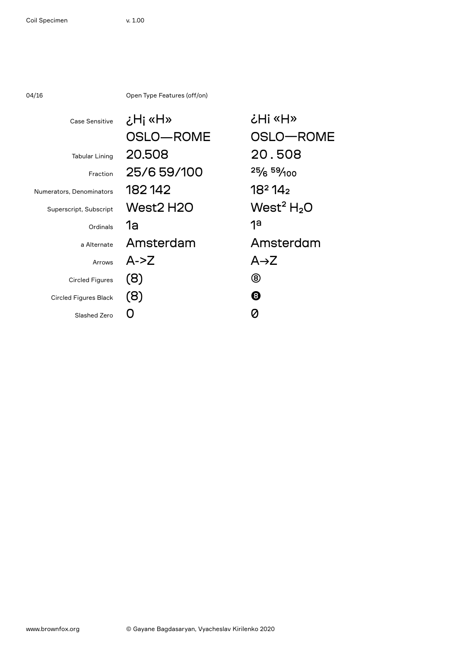04/16 Open Type Features (off/on)

| Case Sensitive           | ظHi «H» ن   | خ              |
|--------------------------|-------------|----------------|
|                          | OSLO-ROME   | C              |
| <b>Tabular Lining</b>    | 20,508      | $\overline{2}$ |
| Fraction                 | 25/6 59/100 | 2 <sub>5</sub> |
| Numerators, Denominators | 182142      | 1              |
| Superscript, Subscript   | West2 H2O   | V              |
| Ordinals                 | 1a          | 1              |
| a Alternate              | Amsterdam   | Д              |
| Arrows                   | $A - Z$     | д              |
| <b>Circled Figures</b>   |             | ල              |

(8)

 $\overline{O}$ 

Slashed Zero

Circled Figures Black

¿H¡ «H» OSLO—ROME 20.508 <sup>25</sup>/<sub>6</sub> 59/<sub>100</sub> 18<sup>2</sup> 14<sub>2</sub>  $\mathsf{Nest}^2\,\mathsf{H}_2\mathsf{O}$ 1a Amsterdam  $A \rightarrow Z$  $^\circledR$ (8)  $\ddot{\mathbf{e}}$ (8)

0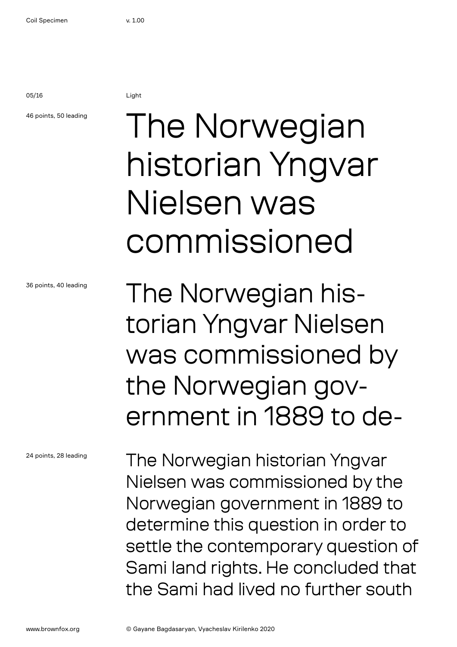05/16 Light

### 46 points, 50 leading

### The Norwegian historian Yngvar Nielsen was commissioned

36 points, 40 leading

24 points, 28 leading

The Norwegian historian Yngvar Nielsen was commissioned by the Norwegian government in 1889 to de-

The Norwegian historian Yngvar Nielsen was commissioned by the Norwegian government in 1889 to determine this question in order to settle the contemporary question of Sami land rights. He concluded that the Sami had lived no further south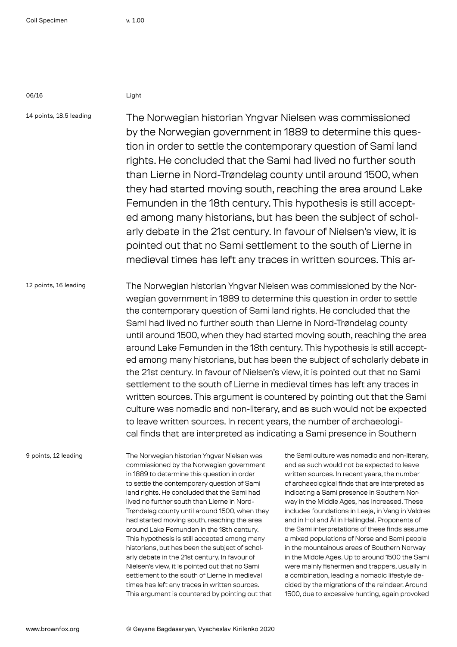### 06/16 Light

14 points, 18.5 leading The Norwegian historian Yngvar Nielsen was commissioned by the Norwegian government in 1889 to determine this question in order to settle the contemporary question of Sami land rights. He concluded that the Sami had lived no further south than Lierne in Nord-Trøndelag county until around 1500, when they had started moving south, reaching the area around Lake Femunden in the 18th century. This hypothesis is still accepted among many historians, but has been the subject of scholarly debate in the 21st century. In favour of Nielsen's view, it is pointed out that no Sami settlement to the south of Lierne in medieval times has left any traces in written sources. This ar-

12 points, 16 leading The Norwegian historian Yngvar Nielsen was commissioned by the Norwegian government in 1889 to determine this question in order to settle the contemporary question of Sami land rights. He concluded that the Sami had lived no further south than Lierne in Nord-Trøndelag county until around 1500, when they had started moving south, reaching the area around Lake Femunden in the 18th century. This hypothesis is still accepted among many historians, but has been the subject of scholarly debate in the 21st century. In favour of Nielsen's view, it is pointed out that no Sami settlement to the south of Lierne in medieval times has left any traces in written sources. This argument is countered by pointing out that the Sami culture was nomadic and non-literary, and as such would not be expected to leave written sources. In recent years, the number of archaeological finds that are interpreted as indicating a Sami presence in Southern

9 points, 12 leading

The Norwegian historian Yngvar Nielsen was commissioned by the Norwegian government in 1889 to determine this question in order to settle the contemporary question of Sami land rights. He concluded that the Sami had lived no further south than Lierne in Nord-Trøndelag county until around 1500, when they had started moving south, reaching the area around Lake Femunden in the 18th century. This hypothesis is still accepted among many historians, but has been the subject of scholarly debate in the 21st century. In favour of Nielsen's view, it is pointed out that no Sami settlement to the south of Lierne in medieval times has left any traces in written sources. This argument is countered by pointing out that

the Sami culture was nomadic and non-literary, and as such would not be expected to leave written sources. In recent years, the number of archaeological finds that are interpreted as indicating a Sami presence in Southern Norway in the Middle Ages, has increased. These includes foundations in Lesja, in Vang in Valdres and in Hol and Ål in Hallingdal. Proponents of the Sami interpretations of these finds assume a mixed populations of Norse and Sami people in the mountainous areas of Southern Norway in the Middle Ages. Up to around 1500 the Sami were mainly fishermen and trappers, usually in a combination, leading a nomadic lifestyle decided by the migrations of the reindeer. Around 1500, due to excessive hunting, again provoked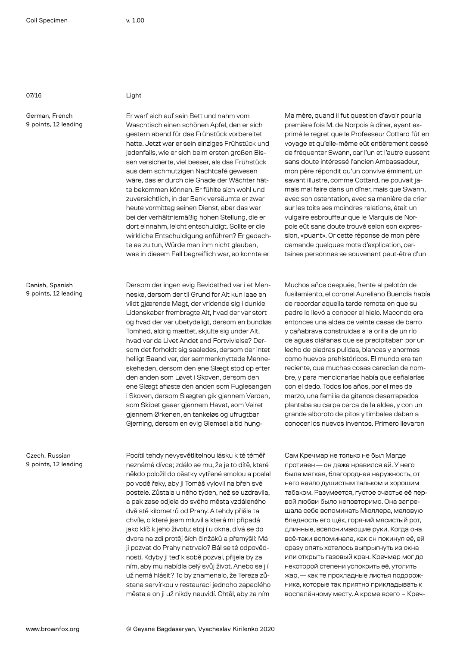07/16 Light

German, French 9 points, 12 leading

Danish, Spanish 9 points, 12 leading

Czech, Russian 9 points, 12 leading

Er warf sich auf sein Bett und nahm vom Waschtisch einen schönen Apfel, den er sich gestern abend für das Frühstück vorbereitet hatte. Jetzt war er sein einziges Frühstück und jedenfalls, wie er sich beim ersten großen Bissen versicherte, viel besser, als das Frühstück aus dem schmutzigen Nachtcafé gewesen wäre, das er durch die Gnade der Wächter hätte bekommen können. Er fühlte sich wohl und zuversichtlich, in der Bank versäumte er zwar heute vormittag seinen Dienst, aber das war bei der verhältnismäßig hohen Stellung, die er dort einnahm, leicht entschuldigt. Sollte er die wirkliche Entschuldigung anführen? Er gedachte es zu tun, Würde man ihm nicht glauben, was in diesem Fall begreiflich war, so konnte er

Dersom der ingen evig Bevidsthed var i et Menneske, dersom der til Grund for Alt kun laae en vildt gjærende Magt, der vridende sig i dunkle Lidenskaber frembragte Alt, hvad der var stort og hvad der var ubetydeligt, dersom en bundløs Tomhed, aldrig mættet, skjulte sig under Alt, hvad var da Livet Andet end Fortvivlelse? Dersom det forholdt sig saaledes, dersom der intet helligt Baand var, der sammenknyttede Menneskeheden, dersom den ene Slægt stod op efter den anden som Løvet i Skoven, dersom den ene Slægt afløste den anden som Fuglesangen i Skoven, dersom Slægten gik gjennem Verden, som Skibet gaaer gjennem Havet, som Veiret gjennem Ørkenen, en tankeløs og ufrugtbar Gjerning, dersom en evig Glemsel altid hung-

Pocítil tehdy nevysvětlitelnou lásku k té téměř neznámé dívce; zdálo se mu, že je to dítě, které někdo položil do ošatky vytřené smolou a poslal po vodě řeky, aby ji Tomáš vylovil na břeh své postele. Zůstala u něho týden, než se uzdravila, a pak zase odjela do svého města vzdáleného dvě stě kilometrů od Prahy. A tehdy přišla ta chvíle, o které jsem mluvil a která mi připadá jako klíč k jeho životu: stoj í u okna, dívá se do dvora na zdi protěj ších činžáků a přemýšlí: Má ji pozvat do Prahy natrvalo? Bál se té odpovědnosti. Kdyby ji teď k sobě pozval, přijela by za ním, aby mu nabídla celý svůj život. Anebo se j í už nemá hlásit? To by znamenalo, že Tereza zůstane servírkou v restauraci jednoho zapadlého města a on ji už nikdy neuvidí. Chtěl, aby za ním

Ma mère, quand il fut question d'avoir pour la première fois M. de Norpois à dîner, ayant exprimé le regret que le Professeur Cottard fût en voyage et qu'elle-même eût entièrement cessé de fréquenter Swann, car l'un et l'autre eussent sans doute intéressé l'ancien Ambassadeur, mon père répondit qu'un convive éminent, un savant illustre, comme Cottard, ne pouvait jamais mal faire dans un dîner, mais que Swann, avec son ostentation, avec sa manière de crier sur les toits ses moindres relations, était un vulgaire esbrouffeur que le Marquis de Norpois eût sans doute trouvé selon son expression, «puant». Or cette réponse de mon père demande quelques mots d'explication, certaines personnes se souvenant peut-être d'un

Muchos años después, frente al pelotón de fusilamiento, el coronel Aureliano Buendía había de recordar aquella tarde remota en que su padre lo llevó a conocer el hielo. Macondo era entonces una aldea de veinte casas de barro y cañabrava construidas a la orilla de un río de aguas diáfanas que se precipitaban por un lecho de piedras pulidas, blancas y enormes como huevos prehistóricos. El mundo era tan reciente, que muchas cosas carecían de nombre, y para mencionarlas había que señalarías con el dedo. Todos los años, por el mes de marzo, una familia de gitanos desarrapados plantaba su carpa cerca de la aldea, y con un grande alboroto de pitos y timbales daban a conocer los nuevos inventos. Primero llevaron

Сам Кречмар не только не был Магде противен—он даже нравился ей. У него была мягкая, благородная наружность, от него веяло душистым тальком и хорошим табаком. Разумеется, густое счастье её первой любви было неповторимо. Она запрещала себе вспоминать Мюллера, меловую бледность его щёк, горячий мясистый рот, длинные, всепонимающие руки. Когда она всё-таки вспоминала, как он покинул её, ей сразу опять хотелось выпрыгнуть из окна или открыть газовый кран. Кречмар мог до некоторой степени успокоить её, утолить жар,—как те прохладные листья подорожника, которые так приятно прикладывать к воспалённому месту. А кроме всего – Креч-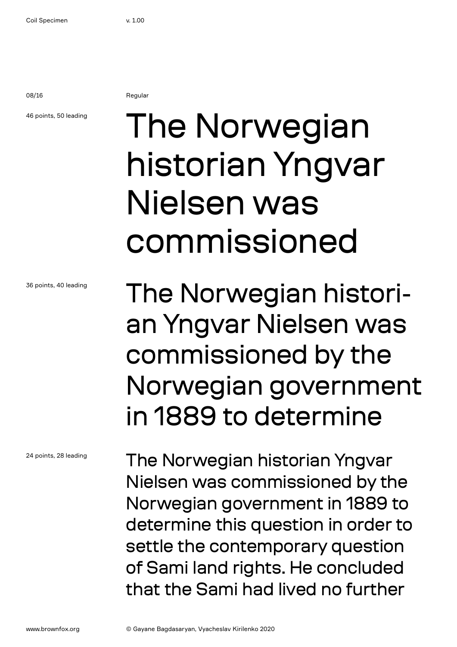08/16 Regular

### 46 points, 50 leading

# The Norwegian historian Yngvar Nielsen was commissioned

36 points, 40 leading

24 points, 28 leading

### The Norwegian historian Yngvar Nielsen was commissioned by the Norwegian government in 1889 to determine

The Norwegian historian Yngvar Nielsen was commissioned by the Norwegian government in 1889 to determine this question in order to settle the contemporary question of Sami land rights. He concluded that the Sami had lived no further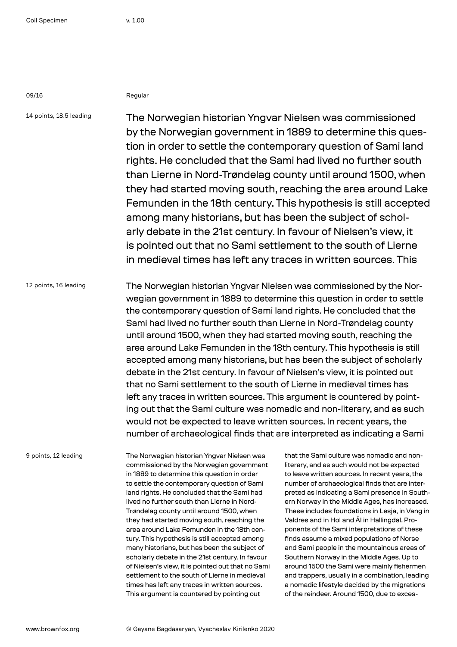|--|--|--|

### Regular

14 points, 18.5 leading The Norwegian historian Yngvar Nielsen was commissioned by the Norwegian government in 1889 to determine this question in order to settle the contemporary question of Sami land rights. He concluded that the Sami had lived no further south than Lierne in Nord-Trøndelag county until around 1500, when they had started moving south, reaching the area around Lake Femunden in the 18th century. This hypothesis is still accepted among many historians, but has been the subject of scholarly debate in the 21st century. In favour of Nielsen's view, it is pointed out that no Sami settlement to the south of Lierne in medieval times has left any traces in written sources. This

12 points, 16 leading The Norwegian historian Yngvar Nielsen was commissioned by the Norwegian government in 1889 to determine this question in order to settle the contemporary question of Sami land rights. He concluded that the Sami had lived no further south than Lierne in Nord-Trøndelag county until around 1500, when they had started moving south, reaching the area around Lake Femunden in the 18th century. This hypothesis is still accepted among many historians, but has been the subject of scholarly debate in the 21st century. In favour of Nielsen's view, it is pointed out that no Sami settlement to the south of Lierne in medieval times has left any traces in written sources. This argument is countered by pointing out that the Sami culture was nomadic and non-literary, and as such would not be expected to leave written sources. In recent years, the number of archaeological finds that are interpreted as indicating a Sami

9 points, 12 leading

The Norwegian historian Yngvar Nielsen was commissioned by the Norwegian government in 1889 to determine this question in order to settle the contemporary question of Sami land rights. He concluded that the Sami had lived no further south than Lierne in Nord-Trøndelag county until around 1500, when they had started moving south, reaching the area around Lake Femunden in the 18th century. This hypothesis is still accepted among many historians, but has been the subject of scholarly debate in the 21st century. In favour of Nielsen's view, it is pointed out that no Sami settlement to the south of Lierne in medieval times has left any traces in written sources. This argument is countered by pointing out

that the Sami culture was nomadic and nonliterary, and as such would not be expected to leave written sources. In recent years, the number of archaeological finds that are interpreted as indicating a Sami presence in Southern Norway in the Middle Ages, has increased. These includes foundations in Lesja, in Vang in Valdres and in Hol and Ål in Hallingdal. Proponents of the Sami interpretations of these finds assume a mixed populations of Norse and Sami people in the mountainous areas of Southern Norway in the Middle Ages. Up to around 1500 the Sami were mainly fishermen and trappers, usually in a combination, leading a nomadic lifestyle decided by the migrations of the reindeer. Around 1500, due to exces-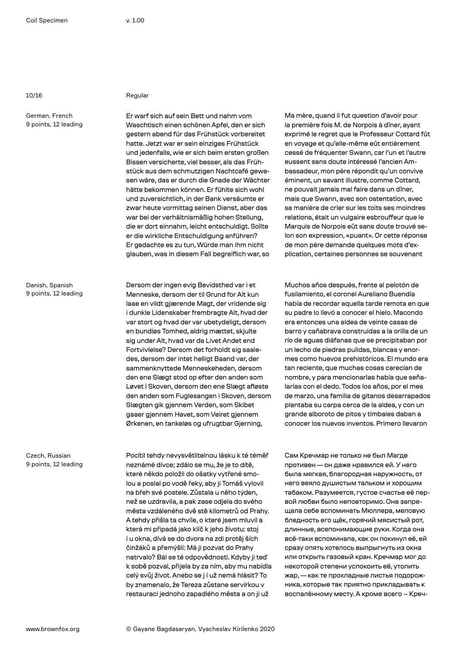German, French 9 points, 12 leading

Danish, Spanish 9 points, 12 leading

Czech, Russian 9 points, 12 leading

### 10/16 Regular

Er warf sich auf sein Bett und nahm vom Waschtisch einen schönen Apfel, den er sich gestern abend für das Frühstück vorbereitet hatte. Jetzt war er sein einziges Frühstück und jedenfalls, wie er sich beim ersten großen Bissen versicherte, viel besser, als das Frühstück aus dem schmutzigen Nachtcafé gewesen wäre, das er durch die Gnade der Wächter hätte bekommen können. Er fühlte sich wohl und zuversichtlich, in der Bank versäumte er zwar heute vormittag seinen Dienst, aber das war bei der verhältnismäßig hohen Stellung, die er dort einnahm, leicht entschuldigt. Sollte er die wirkliche Entschuldigung anführen? Er gedachte es zu tun, Würde man ihm nicht glauben, was in diesem Fall begreiflich war, so

Dersom der ingen evig Bevidsthed var i et Menneske, dersom der til Grund for Alt kun laae en vildt gjærende Magt, der vridende sig i dunkle Lidenskaber frembragte Alt, hvad der var stort og hvad der var ubetydeligt, dersom en bundløs Tomhed, aldrig mættet, skjulte sig under Alt, hvad var da Livet Andet end Fortvivlelse? Dersom det forholdt sig saaledes, dersom der intet helligt Baand var, der sammenknyttede Menneskeheden, dersom den ene Slægt stod op efter den anden som Løvet i Skoven, dersom den ene Slægt afløste den anden som Fuglesangen i Skoven, dersom Slægten gik gjennem Verden, som Skibet gaaer gjennem Havet, som Veiret gjennem Ørkenen, en tankeløs og ufrugtbar Gjerning,

Pocítil tehdy nevysvětlitelnou lásku k té téměř neznámé dívce; zdálo se mu, že je to dítě, které někdo položil do ošatky vytřené smolou a poslal po vodě řeky, aby ji Tomáš vylovil na břeh své postele. Zůstala u něho týden, než se uzdravila, a pak zase odjela do svého města vzdáleného dvě stě kilometrů od Prahy. A tehdy přišla ta chvíle, o které jsem mluvil a která mi připadá jako klíč k jeho životu: stoj í u okna, dívá se do dvora na zdi protěj ších činžáků a přemýšlí: Má ji pozvat do Prahy natrvalo? Bál se té odpovědnosti. Kdyby ji teď k sobě pozval, přijela by za ním, aby mu nabídla celý svůj život. Anebo se j í už nemá hlásit? To by znamenalo, že Tereza zůstane servírkou v restauraci jednoho zapadlého města a on ji už

Ma mère, quand il fut question d'avoir pour la première fois M. de Norpois à dîner, ayant exprimé le regret que le Professeur Cottard fût en voyage et qu'elle-même eût entièrement cessé de fréquenter Swann, car l'un et l'autre eussent sans doute intéressé l'ancien Ambassadeur, mon père répondit qu'un convive éminent, un savant illustre, comme Cottard, ne pouvait jamais mal faire dans un dîner, mais que Swann, avec son ostentation, avec sa manière de crier sur les toits ses moindres relations, était un vulgaire esbrouffeur que le Marquis de Norpois eût sans doute trouvé selon son expression, «puant». Or cette réponse de mon père demande quelques mots d'explication, certaines personnes se souvenant

Muchos años después, frente al pelotón de fusilamiento, el coronel Aureliano Buendía había de recordar aquella tarde remota en que su padre lo llevó a conocer el hielo. Macondo era entonces una aldea de veinte casas de barro y cañabrava construidas a la orilla de un río de aguas diáfanas que se precipitaban por un lecho de piedras pulidas, blancas y enormes como huevos prehistóricos. El mundo era tan reciente, que muchas cosas carecían de nombre, y para mencionarlas había que señalarías con el dedo. Todos los años, por el mes de marzo, una familia de gitanos desarrapados plantaba su carpa cerca de la aldea, y con un grande alboroto de pitos y timbales daban a conocer los nuevos inventos. Primero llevaron

Сам Кречмар не только не был Магде противен—он даже нравился ей. У него была мягкая, благородная наружность, от него веяло душистым тальком и хорошим табаком. Разумеется, густое счастье её первой любви было неповторимо. Она запрещала себе вспоминать Мюллера, меловую бледность его щёк, горячий мясистый рот, длинные, всепонимающие руки. Когда она всё-таки вспоминала, как он покинул её, ей сразу опять хотелось выпрыгнуть из окна или открыть газовый кран. Кречмар мог до некоторой степени успокоить её, утолить жар,—как те прохладные листья подорожника, которые так приятно прикладывать к воспалённому месту. А кроме всего – Креч-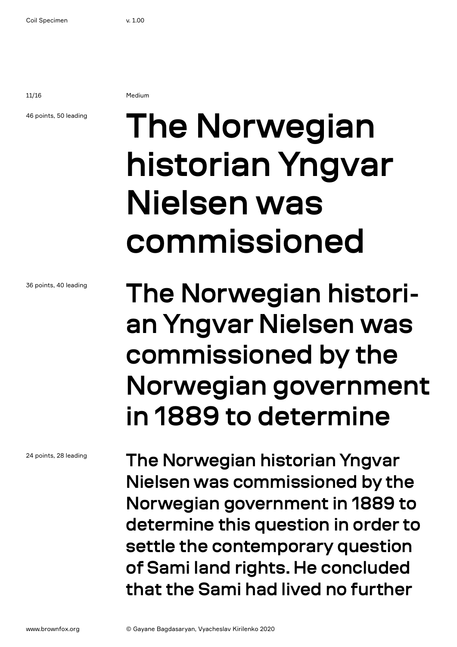11/16 Medium

### 46 points, 50 leading

# The Norwegian historian Yngvar Nielsen was commissioned

36 points, 40 leading

24 points, 28 leading

### The Norwegian historian Yngvar Nielsen was commissioned by the Norwegian government in 1889 to determine

The Norwegian historian Yngvar Nielsen was commissioned by the Norwegian government in 1889 to determine this question in order to settle the contemporary question of Sami land rights. He concluded that the Sami had lived no further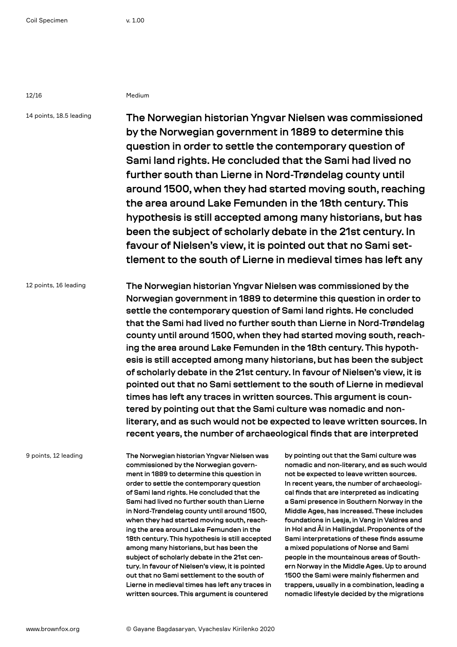### 12/16 Medium

14 points, 18.5 leading

The Norwegian historian Yngvar Nielsen was commissioned by the Norwegian government in 1889 to determine this question in order to settle the contemporary question of Sami land rights. He concluded that the Sami had lived no further south than Lierne in Nord-Trøndelag county until around 1500, when they had started moving south, reaching the area around Lake Femunden in the 18th century. This hypothesis is still accepted among many historians, but has been the subject of scholarly debate in the 21st century. In favour of Nielsen's view, it is pointed out that no Sami settlement to the south of Lierne in medieval times has left any

12 points, 16 leading The Norwegian historian Yngvar Nielsen was commissioned by the Norwegian government in 1889 to determine this question in order to settle the contemporary question of Sami land rights. He concluded that the Sami had lived no further south than Lierne in Nord-Trøndelag county until around 1500, when they had started moving south, reaching the area around Lake Femunden in the 18th century. This hypothesis is still accepted among many historians, but has been the subject of scholarly debate in the 21st century. In favour of Nielsen's view, it is pointed out that no Sami settlement to the south of Lierne in medieval times has left any traces in written sources. This argument is countered by pointing out that the Sami culture was nomadic and nonliterary, and as such would not be expected to leave written sources. In recent years, the number of archaeological finds that are interpreted

9 points, 12 leading

The Norwegian historian Yngvar Nielsen was commissioned by the Norwegian government in 1889 to determine this question in order to settle the contemporary question of Sami land rights. He concluded that the Sami had lived no further south than Lierne in Nord-Trøndelag county until around 1500, when they had started moving south, reaching the area around Lake Femunden in the 18th century. This hypothesis is still accepted among many historians, but has been the subject of scholarly debate in the 21st century. In favour of Nielsen's view, it is pointed out that no Sami settlement to the south of Lierne in medieval times has left any traces in written sources. This argument is countered

by pointing out that the Sami culture was nomadic and non-literary, and as such would not be expected to leave written sources. In recent years, the number of archaeological finds that are interpreted as indicating a Sami presence in Southern Norway in the Middle Ages, has increased. These includes foundations in Lesja, in Vang in Valdres and in Hol and Ål in Hallingdal. Proponents of the Sami interpretations of these finds assume a mixed populations of Norse and Sami people in the mountainous areas of Southern Norway in the Middle Ages. Up to around 1500 the Sami were mainly fishermen and trappers, usually in a combination, leading a nomadic lifestyle decided by the migrations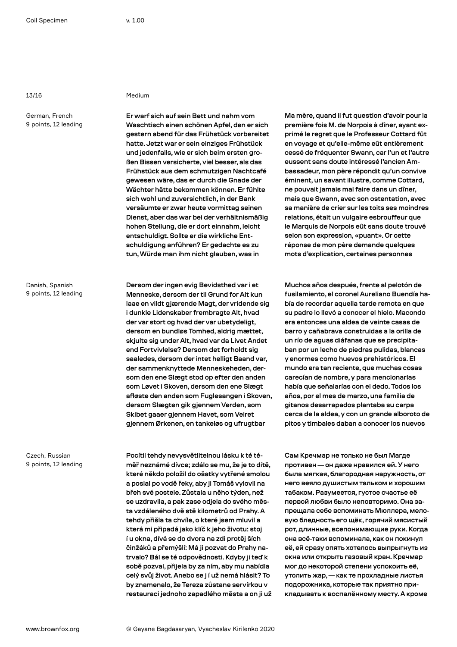German, French 9 points, 12 leading

Danish, Spanish 9 points, 12 leading

Czech, Russian 9 points, 12 leading

### 13/16 Medium

Er warf sich auf sein Bett und nahm vom Waschtisch einen schönen Apfel, den er sich gestern abend für das Frühstück vorbereitet hatte. Jetzt war er sein einziges Frühstück und jedenfalls, wie er sich beim ersten großen Bissen versicherte, viel besser, als das Frühstück aus dem schmutzigen Nachtcafé gewesen wäre, das er durch die Gnade der Wächter hätte bekommen können. Er fühlte sich wohl und zuversichtlich, in der Bank versäumte er zwar heute vormittag seinen Dienst, aber das war bei der verhältnismäßig hohen Stellung, die er dort einnahm, leicht entschuldigt. Sollte er die wirkliche Entschuldigung anführen? Er gedachte es zu tun, Würde man ihm nicht glauben, was in

Dersom der ingen evig Bevidsthed var i et Menneske, dersom der til Grund for Alt kun laae en vildt gjærende Magt, der vridende sig i dunkle Lidenskaber frembragte Alt, hvad der var stort og hvad der var ubetydeligt, dersom en bundløs Tomhed, aldrig mættet, skjulte sig under Alt, hvad var da Livet Andet end Fortvivlelse? Dersom det forholdt sig saaledes, dersom der intet helligt Baand var, der sammenknyttede Menneskeheden, dersom den ene Slægt stod op efter den anden som Løvet i Skoven, dersom den ene Slægt afløste den anden som Fuglesangen i Skoven, dersom Slægten gik gjennem Verden, som Skibet gaaer gjennem Havet, som Veiret gjennem Ørkenen, en tankeløs og ufrugtbar

Pocítil tehdy nevysvětlitelnou lásku k té téměř neznámé dívce; zdálo se mu, že je to dítě, které někdo položil do ošatky vytřené smolou a poslal po vodě řeky, aby ji Tomáš vylovil na břeh své postele. Zůstala u něho týden, než se uzdravila, a pak zase odjela do svého města vzdáleného dvě stě kilometrů od Prahy. A tehdy přišla ta chvíle, o které jsem mluvil a která mi připadá jako klíč k jeho životu: stoj í u okna, dívá se do dvora na zdi protěj ších činžáků a přemýšlí: Má ji pozvat do Prahy natrvalo? Bál se té odpovědnosti. Kdyby ji teď k sobě pozval, přijela by za ním, aby mu nabídla celý svůj život. Anebo se j í už nemá hlásit? To by znamenalo, že Tereza zůstane servírkou v restauraci jednoho zapadlého města a on ji už Ma mère, quand il fut question d'avoir pour la première fois M. de Norpois à dîner, ayant exprimé le regret que le Professeur Cottard fût en voyage et qu'elle-même eût entièrement cessé de fréquenter Swann, car l'un et l'autre eussent sans doute intéressé l'ancien Ambassadeur, mon père répondit qu'un convive éminent, un savant illustre, comme Cottard, ne pouvait jamais mal faire dans un dîner, mais que Swann, avec son ostentation, avec sa manière de crier sur les toits ses moindres relations, était un vulgaire esbrouffeur que le Marquis de Norpois eût sans doute trouvé selon son expression, «puant». Or cette réponse de mon père demande quelques mots d'explication, certaines personnes

Muchos años después, frente al pelotón de fusilamiento, el coronel Aureliano Buendía había de recordar aquella tarde remota en que su padre lo llevó a conocer el hielo. Macondo era entonces una aldea de veinte casas de barro y cañabrava construidas a la orilla de un río de aguas diáfanas que se precipitaban por un lecho de piedras pulidas, blancas y enormes como huevos prehistóricos. El mundo era tan reciente, que muchas cosas carecían de nombre, y para mencionarlas había que señalarías con el dedo. Todos los años, por el mes de marzo, una familia de gitanos desarrapados plantaba su carpa cerca de la aldea, y con un grande alboroto de pitos y timbales daban a conocer los nuevos

Сам Кречмар не только не был Магде противен—он даже нравился ей. У него была мягкая, благородная наружность, от него веяло душистым тальком и хорошим табаком. Разумеется, густое счастье её первой любви было неповторимо. Она запрещала себе вспоминать Мюллера, меловую бледность его щёк, горячий мясистый рот, длинные, всепонимающие руки. Когда она всё-таки вспоминала, как он покинул её, ей сразу опять хотелось выпрыгнуть из окна или открыть газовый кран. Кречмар мог до некоторой степени успокоить её, утолить жар,—как те прохладные листья подорожника, которые так приятно прикладывать к воспалённому месту. А кроме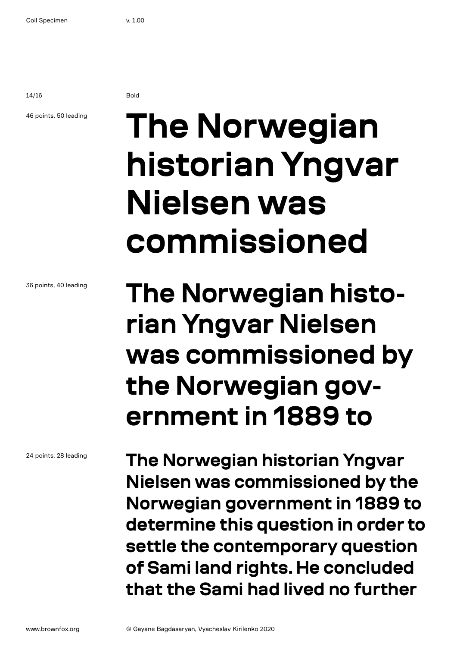14/16 Bold

### 46 points, 50 leading

# **The Norwegian historian Yngvar Nielsen was commissioned**

36 points, 40 leading

**The Norwegian historian Yngvar Nielsen was commissioned by the Norwegian government in 1889 to** 

**The Norwegian historian Yngvar Nielsen was commissioned by the Norwegian government in 1889 to determine this question in order to settle the contemporary question of Sami land rights. He concluded that the Sami had lived no further** 

24 points, 28 leading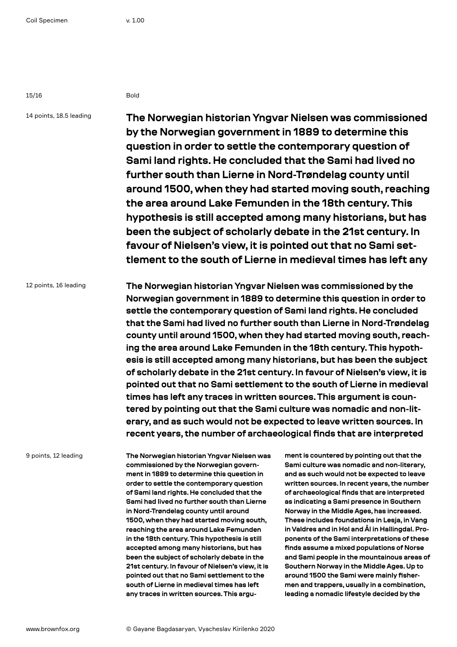15/16 Bold

14 points, 18.5 leading

**The Norwegian historian Yngvar Nielsen was commissioned by the Norwegian government in 1889 to determine this question in order to settle the contemporary question of Sami land rights. He concluded that the Sami had lived no further south than Lierne in Nord-Trøndelag county until around 1500, when they had started moving south, reaching the area around Lake Femunden in the 18th century. This hypothesis is still accepted among many historians, but has been the subject of scholarly debate in the 21st century. In favour of Nielsen's view, it is pointed out that no Sami settlement to the south of Lierne in medieval times has left any** 

12 points, 16 leading **The Norwegian historian Yngvar Nielsen was commissioned by the Norwegian government in 1889 to determine this question in order to settle the contemporary question of Sami land rights. He concluded that the Sami had lived no further south than Lierne in Nord-Trøndelag county until around 1500, when they had started moving south, reaching the area around Lake Femunden in the 18th century. This hypothesis is still accepted among many historians, but has been the subject of scholarly debate in the 21st century. In favour of Nielsen's view, it is pointed out that no Sami settlement to the south of Lierne in medieval times has left any traces in written sources. This argument is countered by pointing out that the Sami culture was nomadic and non-literary, and as such would not be expected to leave written sources. In recent years, the number of archaeological finds that are interpreted** 

9 points, 12 leading

**The Norwegian historian Yngvar Nielsen was commissioned by the Norwegian government in 1889 to determine this question in order to settle the contemporary question of Sami land rights. He concluded that the Sami had lived no further south than Lierne in Nord-Trøndelag county until around 1500, when they had started moving south, reaching the area around Lake Femunden in the 18th century. This hypothesis is still accepted among many historians, but has been the subject of scholarly debate in the 21st century. In favour of Nielsen's view, it is pointed out that no Sami settlement to the south of Lierne in medieval times has left any traces in written sources. This argu-** **ment is countered by pointing out that the Sami culture was nomadic and non-literary, and as such would not be expected to leave written sources. In recent years, the number of archaeological finds that are interpreted as indicating a Sami presence in Southern Norway in the Middle Ages, has increased. These includes foundations in Lesja, in Vang in Valdres and in Hol and Ål in Hallingdal. Proponents of the Sami interpretations of these finds assume a mixed populations of Norse and Sami people in the mountainous areas of Southern Norway in the Middle Ages. Up to around 1500 the Sami were mainly fishermen and trappers, usually in a combination, leading a nomadic lifestyle decided by the**